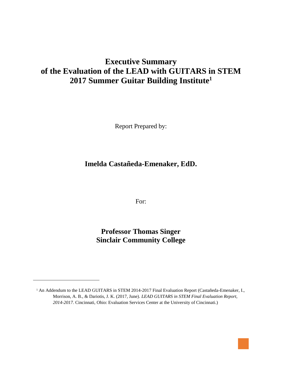# **Executive Summary of the Evaluation of the LEAD with GUITARS in STEM 2017 Summer Guitar Building Institute<sup>1</sup>**

Report Prepared by:

**Imelda Castañeda-Emenaker, EdD.**

For:

**Professor Thomas Singer Sinclair Community College**

 $\overline{a}$ 



<sup>&</sup>lt;sup>1</sup> An Addendum to the LEAD GUITARS in STEM 2014-2017 Final Evaluation Report (Castañeda-Emenaker, I., Morrison, A. B., & Dariotis, J. K. (2017, June). *LEAD GUITARS in STEM Final Evaluation Report, 2014-2017.* Cincinnati, Ohio: Evaluation Services Center at the University of Cincinnati.)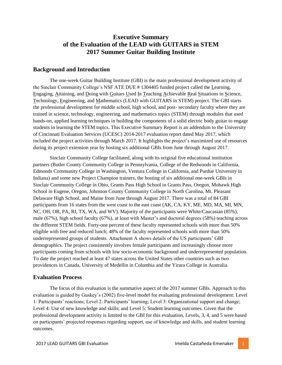# **Executive Summary of the Evaluation of the LEAD with GUITARS in STEM 2017 Summer Guitar Building Institute**

### **Background and Introduction**

The one-week Guitar Building Institute (GBI) is the main professional development activity of the Sinclair Community College's NSF ATE DUE # 1304405 funded project called the Learning, Engaging, Attaining, and Doing with Guitars Used In Teaching Achievable Real Situations in Science, Technology, Engineering, and Mathematics (LEAD with GUITARS in STEM) project. The GBI starts the professional development for middle school, high school, and post- secondary faculty where they are trained in science, technology, engineering, and mathematics topics (STEM) through modules that used hands-on, applied learning techniques in building the components of a solid electric body guitar to engage students in learning the STEM topics. This Executive Summary Report is an addendum to the University of Cincinnati Evaluation Services (UCESC) 2014-2017 evaluation report dated May 2017, which included the project activities through March 2017. It highlights the project's maximized use of resources during its project extension year by hosting six additional GBIs from June through August 2017.

Sinclair Community College facilitated, along with its original five educational institution partners (Butler County Community College in Pennsylvania, College of the Redwoods in California, Edmonds Community College in Washington, Ventura College in California, and Purdue University in Indiana) and some new Project Champion trainers, the hosting of six additional one-week GBIs in Sinclair Community College in Ohio, Grants Pass High School in Grants Pass, Oregon, Mohawk High School in Eugene, Oregon, Johnston County Community College in North Carolina, Mt. Pleasant Delaware High School, and Maine from June through August 2017. There was a total of 84 GBI participants from 16 states from the west coast to the east coast (AK, CA, KY, ME, MD, MA, MI, MN, NC, OH, OR, PA, RI, TX, WA, and WV). Majority of the participants were White/Caucasian (85%), male (67%), high school faculty (67%), at least with Master's and doctoral degrees (58%) teaching across the different STEM fields. Forty-one percent of these faculty represented schools with more than 50% eligible with free and reduced lunch; 48% of the faculty represented schools with more than 50% underrepresented groups of students. Attachment A shows details of the US participants' GBI demographics. The project consistently involves female participants and increasingly choose more participants coming from schools with low socio-economic background and underrepresented population. To date the project reached at least 47 states across the United States other countries such as two providences in Canada, University of Medellin in Columbia and the Yirara College in Australia.

### **Evaluation Process**

The focus of this evaluation is the summative aspect of the 2017 summer GBIs. Approach to this evaluation is guided by Guskey's (2002) five-level model for evaluating professional development: Level 1: Participants' reactions; Level 2: Participants' learning; Level 3: Organizational support and change; Level 4: Use of new knowledge and skills; and Level 5: Student learning outcomes. Given that the professional development activity is limited to the GBI for this evaluation, Levels, 3, 4, and 5 were based on participants' projected responses regarding support, use of knowledge and skills, and student learning outcomes.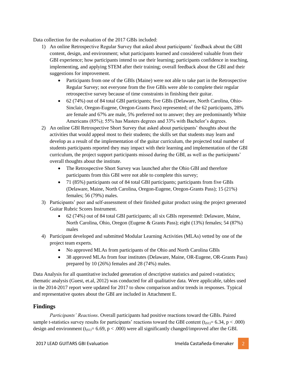Data collection for the evaluation of the 2017 GBIs included:

- 1) An online Retrospective Regular Survey that asked about participants' feedback about the GBI content, design, and environment; what participants learned and considered valuable from their GBI experience; how participants intend to use their learning; participants confidence in teaching, implementing, and applying STEM after their training; overall feedback about the GBI and their suggestions for improvement.
	- Participants from one of the GBIs (Maine) were not able to take part in the Retrospective Regular Survey; not everyone from the five GBIs were able to complete their regular retrospective survey because of time constraints in finishing their guitar.
	- 62 (74%) out of 84 total GBI participants; five GBIs (Delaware, North Carolina, Ohio-Sinclair, Oregon-Eugene, Oregon-Grants Pass) represented; of the 62 participants, 28% are female and 67% are male, 5% preferred not to answer; they are predominantly White Americans (85%); 55% has Masters degrees and 33% with Bachelor's degrees.
- 2) An online GBI Retrospective Short Survey that asked about participants' thoughts about the activities that would appeal most to their students; the skills set that students may learn and develop as a result of the implementation of the guitar curriculum, the projected total number of students participants reported they may impact with their learning and implementation of the GBI curriculum, the project support participants missed during the GBI, as well as the participants' overall thoughts about the institute.
	- The Retrospective Short Survey was launched after the Ohio GBI and therefore participants from this GBI were not able to complete this survey;
	- 71 (85%) participants out of 84 total GBI participants; participants from five GBIs (Delaware, Maine, North Carolina, Oregon-Eugene, Oregon-Grants Pass); 15 (21%) females; 56 (79%) males.
- 3) Participants' peer and self-assessment of their finished guitar product using the project generated Guitar Rubric Scores Instrument.
	- 62 (74%) out of 84 total GBI participants; all six GBIs represented: Delaware, Maine, North Carolina, Ohio, Oregon (Eugene & Grants Pass); eight (13%) females; 54 (87%) males
- 4) Participant developed and submitted Modular Learning Activities (MLAs) vetted by one of the project team experts.
	- No approved MLAs from participants of the Ohio and North Carolina GBIs
	- 38 approved MLAs from four institutes (Delaware, Maine, OR-Eugene, OR-Grants Pass) prepared by 10 (26%) females and 28 (74%) males.

Data Analysis for all quantitative included generation of descriptive statistics and paired t-statistics; thematic analysis (Guest, et.al, 2012) was conducted for all qualitative data. Were applicable, tables used in the 2014-2017 report were updated for 2017 to show comparison and/or trends in responses. Typical and representative quotes about the GBI are included in Attachment E.

### **Findings**

*Participants' Reactions.* Overall participants had positive reactions toward the GBIs. Paired sample t-statistics survey results for participants' reactions toward the GBI content ( $t_{(61)} = 6.34$ , p < .000) design and environment ( $t_{(61)}$ = 6.69, p < .000) were all significantly changed/improved after the GBI.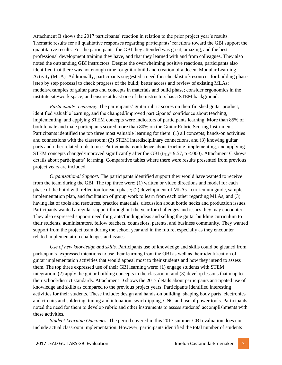Attachment B shows the 2017 participants' reaction in relation to the prior project year's results. Thematic results for all qualitative responses regarding participants' reactions toward the GBI support the quantitative results. For the participants, the GBI they attended was great, amazing, and the best professional development training they have, and that they learned with and from colleagues. They also noted the outstanding GBI instructors. Despite the overwhelming positive reactions, participants also identified that there was not enough time for guitar build and creation of a decent Modular Learning Activity (MLA). Additionally, participants suggested a need for: checklist of/resources for building phase [step by step process] to check progress of the build; better access and review of existing MLAs; models/examples of guitar parts and concepts in materials and build phase; consider ergonomics in the institute site/work space; and ensure at least one of the instructors has a STEM background.

*Participants' Learning.* The participants' guitar rubric scores on their finished guitar product, identified valuable learning, and the changed/improved participants' confidence about teaching, implementing, and applying STEM concepts were indicators of participants learning. More than 85% of both female and male participants scored more than 80% on the Guitar Rubric Scoring Instrument. Participants identified the top three most valuable learning for them: (1) all concepts; hands-on activities and connections with the classroom; (2) STEM interdisciplinary connections, and (3) knowing guitar parts and other related tools to use. Participants' confidence about teaching, implementing, and applying STEM concepts changed/improved significantly after the GBI ( $t_{(61)} = 9.57$ , p <.000). Attachment C shows details about participants' learning. Comparative tables where there were results presented from previous project years are included.

*Organizational Support.* The participants identified support they would have wanted to receive from the team during the GBI. The top three were: (1) written or video directions and model for each phase of the build with reflection for each phase; (2) development of MLAs - curriculum guide, sample implementation plan, and facilitation of group work to learn from each other regarding MLAs; and (3) having list of tools and resources, practice materials, discussion about bottle necks and production issues. Participants wanted a regular support throughout the year for challenges and issues they may encounter. They also expressed support need for grants/funding ideas and selling the guitar building curriculum to their students, administrators, fellow teachers, counselors, parents, and business community. They wanted support from the project team during the school year and in the future, especially as they encounter related implementation challenges and issues.

*Use of new knowledge and skills.* Participants use of knowledge and skills could be gleaned from participants' expressed intentions to use their learning from the GBI as well as their identification of guitar implementation activities that would appeal most to their students and how they intend to assess them. The top three expressed use of their GBI learning were: (1) engage students with STEM integration; (2) apply the guitar building concepts in the classroom; and (3) develop lessons that map to their school/district standards. Attachment D shows the 2017 details about participants anticipated use of knowledge and skills as compared to the previous project years. Participants identified interesting activities for their students. These include: design and hands-on building, shaping body parts, electronics and circuits and soldering, tuning and intonation, swirl dipping, CNC and use of power tools. Participants noted the need for them to develop rubric and other instruments to assess students' accomplishments with these activities.

*Student Learning Outcomes.* The period covered in this 2017 summer GBI evaluation does not include actual classroom implementation. However, participants identified the total number of students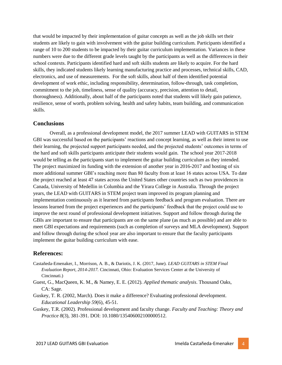that would be impacted by their implementation of guitar concepts as well as the job skills set their students are likely to gain with involvement with the guitar building curriculum. Participants identified a range of 10 to 200 students to be impacted by their guitar curriculum implementation. Variances in these numbers were due to the different grade levels taught by the participants as well as the differences in their school contexts. Participants identified hard and soft skills students are likely to acquire. For the hard skills, they indicated students likely learning manufacturing practice and processes, technical skills, CAD, electronics, and use of measurements. For the soft skills, about half of them identified potential development of work ethic, including responsibility, determination, follow-through, task completion, commitment to the job, timeliness, sense of quality (accuracy, precision, attention to detail, thoroughness). Additionally, about half of the participants noted that students will likely gain patience, resilience, sense of worth, problem solving, health and safety habits, team building, and communication skills.

### **Conclusions**

Overall, as a professional development model, the 2017 summer LEAD with GUITARS in STEM GBI was successful based on the participants' reactions and concept learning, as well as their intent to use their learning, the projected support participants needed, and the projected students' outcomes in terms of the hard and soft skills participants anticipate their students would gain. The school year 2017-2018 would be telling as the participants start to implement the guitar building curriculum as they intended. The project maximized its funding with the extension of another year in 2016-2017 and hosting of six more additional summer GBI's reaching more than 80 faculty from at least 16 states across USA. To date the project reached at least 47 states across the United States other countries such as two providences in Canada, University of Medellin in Columbia and the Yirara College in Australia. Through the project years, the LEAD with GUITARS in STEM project team improved its program planning and implementation continuously as it learned from participants feedback and program evaluation. There are lessons learned from the project experiences and the participants' feedback that the project could use to improve the next round of professional development initiatives. Support and follow through during the GBIs are important to ensure that participants are on the same plane (as much as possible) and are able to meet GBI expectations and requirements (such as completion of surveys and MLA development). Support and follow through during the school year are also important to ensure that the faculty participants implement the guitar building curriculum with ease.

### **References:**

- Castañeda-Emenaker, I., Morrison, A. B., & Dariotis, J. K. (2017, June). *LEAD GUITARS in STEM Final Evaluation Report, 2014-2017.* Cincinnati, Ohio: Evaluation Services Center at the University of Cincinnati.)
- Guest, G., MacQueen, K. M., & Namey, E. E. (2012). *Applied thematic analysis*. Thousand Oaks, CA: Sage.
- Guskey, T. R. (2002, March). Does it make a difference? Evaluating professional development. *Educational Leadership 59*(6), 45-51.
- Guskey, T.R. (2002). Professional development and faculty change. *Faculty and Teaching: Theory and Practice 8*(3), 381-391. DOI: 10.1080/135406002100000512.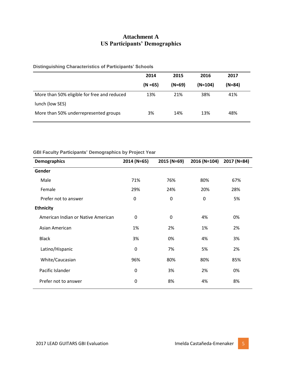# **Attachment A US Participants' Demographics**

### **Distinguishing Characteristics of Participants' Schools**

|                                             | 2014       | 2015     | 2016      | 2017   |
|---------------------------------------------|------------|----------|-----------|--------|
|                                             | $(N = 65)$ | $(N=69)$ | $(N=104)$ | (N=84) |
| More than 50% eligible for free and reduced | 13%        | 21%      | 38%       | 41%    |
| lunch (low SES)                             |            |          |           |        |
| More than 50% underrepresented groups       | 3%         | 14%      | 13%       | 48%    |

### **GBI Faculty Participants' Demographics by Project Year**

| <b>Demographics</b>                | 2014 (N=65) | 2015 (N=69) | 2016 (N=104) | 2017 (N=84) |
|------------------------------------|-------------|-------------|--------------|-------------|
| Gender                             |             |             |              |             |
| Male                               | 71%         | 76%         | 80%          | 67%         |
| Female                             | 29%         | 24%         | 20%          | 28%         |
| Prefer not to answer               | 0           | 0           | $\mathbf 0$  | 5%          |
| <b>Ethnicity</b>                   |             |             |              |             |
| American Indian or Native American | 0           | $\mathbf 0$ | 4%           | 0%          |
| Asian American                     | 1%          | 2%          | 1%           | 2%          |
| <b>Black</b>                       | 3%          | 0%          | 4%           | 3%          |
| Latino/Hispanic                    | $\mathbf 0$ | 7%          | 5%           | 2%          |
| White/Caucasian                    | 96%         | 80%         | 80%          | 85%         |
| Pacific Islander                   | 0           | 3%          | 2%           | 0%          |
| Prefer not to answer               | 0           | 8%          | 4%           | 8%          |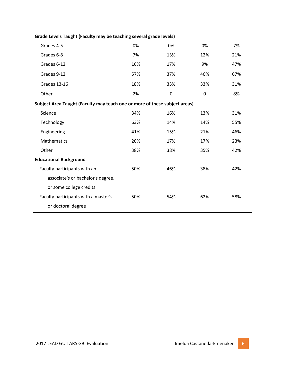| Grades 4-5                                                                 | 0%  | 0%  | 0%  | 7%  |
|----------------------------------------------------------------------------|-----|-----|-----|-----|
| Grades 6-8                                                                 | 7%  | 13% | 12% | 21% |
| Grades 6-12                                                                | 16% | 17% | 9%  | 47% |
| Grades 9-12                                                                | 57% | 37% | 46% | 67% |
| Grades 13-16                                                               | 18% | 33% | 33% | 31% |
| Other                                                                      | 2%  | 0   | 0   | 8%  |
| Subject Area Taught (Faculty may teach one or more of these subject areas) |     |     |     |     |
| Science                                                                    | 34% | 16% | 13% | 31% |
| Technology                                                                 | 63% | 14% | 14% | 55% |
| Engineering                                                                | 41% | 15% | 21% | 46% |
| Mathematics                                                                | 20% | 17% | 17% | 23% |
| Other                                                                      | 38% | 38% | 35% | 42% |
| <b>Educational Background</b>                                              |     |     |     |     |
| Faculty participants with an                                               | 50% | 46% | 38% | 42% |
| associate's or bachelor's degree,                                          |     |     |     |     |
| or some college credits                                                    |     |     |     |     |
| Faculty participants with a master's                                       | 50% | 54% | 62% | 58% |
| or doctoral degree                                                         |     |     |     |     |
|                                                                            |     |     |     |     |

# **Grade Levels Taught (Faculty may be teaching several grade levels)**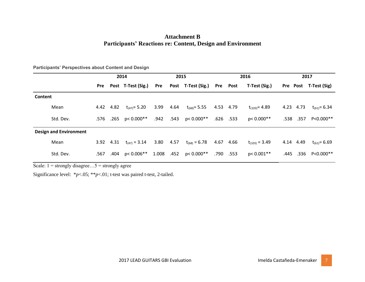## **Attachment B Participants' Reactions re: Content, Design and Environment**

|         |                               | 2014 |           |                             | 2015      |      | 2016                   |           |          | 2017               |  |           |                       |
|---------|-------------------------------|------|-----------|-----------------------------|-----------|------|------------------------|-----------|----------|--------------------|--|-----------|-----------------------|
|         |                               | Pre  |           | Post T-Test (Sig.)          | Pre       |      | Post T-Test (Sig.)     |           | Pre Post | T-Test (Sig.)      |  |           | Pre Post T-Test (Sig) |
| Content |                               |      |           |                             |           |      |                        |           |          |                    |  |           |                       |
|         | Mean                          |      | 4.42 4.82 | $t_{(47)} = 5.20$           | 3.99      | 4.64 | $t_{(68)} = 5.55$      | 4.53 4.79 |          | $t_{(103)} = 4.89$ |  | 4.23 4.73 | $t_{(61)} = 6.34$     |
|         | Std. Dev.                     |      |           | $.576$ $.265$ $p < 0.000**$ |           |      | $.942$ .543 p< 0.000** | .626 .533 |          | $p < 0.000**$      |  | .538.357  | P<0.000**             |
|         | <b>Design and Environment</b> |      |           |                             |           |      |                        |           |          |                    |  |           |                       |
|         | Mean                          |      |           | 3.92 4.31 $t_{(47)} = 3.14$ | 3.80 4.57 |      | $t_{(68)} = 6.78$      | 4.67      | 4.66     | $t_{(103)} = 3.49$ |  | 4.14 4.49 | $t_{(61)} = 6.69$     |
|         | Std. Dev.                     | .567 |           | $.404$ p< 0.006**           | 1.008     | .452 | p< 0.000**             | .790      | .553     | $p < 0.001**$      |  |           | .445 .336 P<0.000**   |
|         |                               |      |           |                             |           |      |                        |           |          |                    |  |           |                       |

**Participants' Perspectives about Content and Design** 

Scale:  $1 =$  strongly disagree... $5 =$  strongly agree

Significance level: \**p*<.05; \*\**p*<.01; t-test was paired t-test, 2-tailed.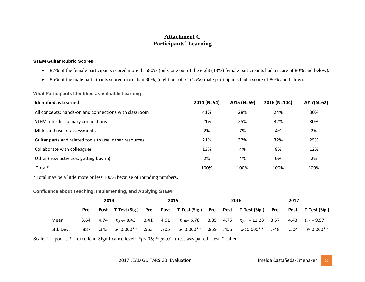# **Attachment C Participants' Learning**

#### **STEM Guitar Rubric Scores**

- 87% of the female participants scored more than80% (only one out of the eight (13%) female participants had a score of 80% and below).
- 85% of the male participants scored more than 80%; (eight out of 54 (15%) male participants had a score of 80% and below).

#### **What Participants Identified as Valuable Learning**

| <b>Identified as Learned</b>                           | 2014 (N=54) | 2015 (N=69) | 2016 (N=104) | $2017(N=62)$ |
|--------------------------------------------------------|-------------|-------------|--------------|--------------|
| All concepts; hands-on and connections with classroom  | 41%         | 28%         | 24%          | 30%          |
| STEM interdisciplinary connections                     | 21%         | 25%         | 32%          | 30%          |
| MLAs and use of assessments                            | 2%          | 7%          | 4%           | 2%           |
| Guitar parts and related tools to use; other resources | 21%         | 32%         | 32%          | 25%          |
| Collaborate with colleagues                            | 13%         | 4%          | 8%           | 12%          |
| Other (new activities; getting buy-in)                 | 2%          | 4%          | 0%           | 2%           |
| Total*                                                 | 100%        | 100%        | 100%         | 100%         |

\*Total may be a little more or less 100% because of rounding numbers.

### **Confidence about Teaching, Implementing, and Applying STEM**

|           |      | 2014 |                        |      | 2015 |            |  | 2016                                                 |      | 2017 |                        |
|-----------|------|------|------------------------|------|------|------------|--|------------------------------------------------------|------|------|------------------------|
|           | Pre  |      | Post T-Test (Sig.)     | Pre  |      |            |  | Post T-Test (Sig.) Pre Post T-Test (Sig.)            | Pre  |      | Post T-Test (Sig.)     |
| Mean      | 3.64 | 4.74 | $t_{(47)} = 8.43$ 3.41 |      | 4.61 |            |  | $t_{(68)} = 6.78$ 3.85 4.75 $t_{(103)} = 11.23$ 3.57 |      |      | 4.43 $t_{(61)} = 9.57$ |
| Std. Dev. | .887 | .343 | p< 0.000**             | .953 | .705 | p< 0.000** |  | $.859$ $.455$ $p < 0.000**$                          | .748 | .504 | P<0.000**              |

Scale:  $1 = poor...5 = excellent$ ; Significance level: \*p<.05; \*\*p<.01; t-test was paired t-test, 2-tailed.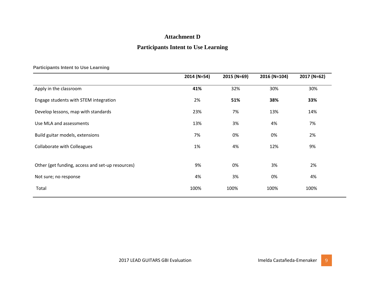# **Attachment D**

# **Participants Intent to Use Learning**

|  |  | <b>Participants Intent to Use Learning</b> |
|--|--|--------------------------------------------|
|  |  |                                            |

|                                                  | 2014 (N=54) | 2015 (N=69) | 2016 (N=104) | 2017 (N=62) |
|--------------------------------------------------|-------------|-------------|--------------|-------------|
| Apply in the classroom                           | 41%         | 32%         | 30%          | 30%         |
| Engage students with STEM integration            | 2%          | 51%         | 38%          | 33%         |
| Develop lessons, map with standards              | 23%         | 7%          | 13%          | 14%         |
| Use MLA and assessments                          | 13%         | 3%          | 4%           | 7%          |
| Build guitar models, extensions                  | 7%          | 0%          | 0%           | 2%          |
| <b>Collaborate with Colleagues</b>               | 1%          | 4%          | 12%          | 9%          |
|                                                  |             |             |              |             |
| Other (get funding, access and set-up resources) | 9%          | 0%          | 3%           | 2%          |
| Not sure; no response                            | 4%          | 3%          | 0%           | 4%          |
| Total                                            | 100%        | 100%        | 100%         | 100%        |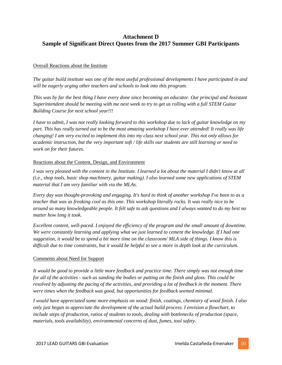# **Attachment D Sample of Significant Direct Quotes from the 2017 Summer GBI Participants**

#### Overall Reactions about the Institute

*The guitar build institute was one of the most useful professional developments I have participated in and will be eagerly urging other teachers and schools to look into this program.*

*This was by far the best thing I have every done since becoming an educator. Our principal and Assistant Superintendent should be meeting with me next week to try to get us rolling with a full STEM Guitar Building Course for next school year!!!*

*I have to admit, I was not really looking forward to this workshop due to lack of guitar knowledge on my part. This has really turned out to be the most amazing workshop I have ever attended! It really was life changing! I am very excited to implement this into my class next school year. This not only allows for academic instruction, but the very important soft / life skills our students are still learning or need to work on for their futures.* 

#### Reactions about the Content, Design, and Environment

*I was very pleased with the content in the Institute. I learned a lot about the material I didn't know at all (i.e., shop tools, basic shop machinery, guitar making). I also learned some new applications of STEM material that I am very familiar with via the MLAs.*

*Every day was thought-provoking and engaging. It's hard to think of another workshop I've been to as a teacher that was as freaking cool as this one. This workshop literally rocks. It was really nice to be around so many knowledgeable people. It felt safe to ask questions and I always wanted to do my best no matter how long it took.*

*Excellent content, well-paced. I enjoyed the efficiency of the program and the small amount of downtime. We were constantly learning and applying what we just learned to cement the knowledge. If I had one suggestion, it would be to spend a bit more time on the classroom/ MLA side of things. I know this is difficult due to time constraints, but it would be helpful to see a more in depth look at the curriculum.*

#### Comments about Need for Support

*It would be good to provide a little more feedback and practice time. There simply was not enough time for all of the activities - such as sanding the bodies or putting on the finish and gloss. This could be resolved by adjusting the pacing of the activities, and providing a lot of feedback in the moment. There were times when the feedback was good, but opportunities for feedback seemed minimal.*

*I would have appreciated some more emphasis on wood: finish, coatings, chemistry of wood finish. I also only just began to appreciate the development of the actual build process. I envision a flowchart, to include steps of production, ratios of students to tools, dealing with bottlenecks of production (space, materials, tools availability), environmental concerns of dust, fumes, tool safety.*